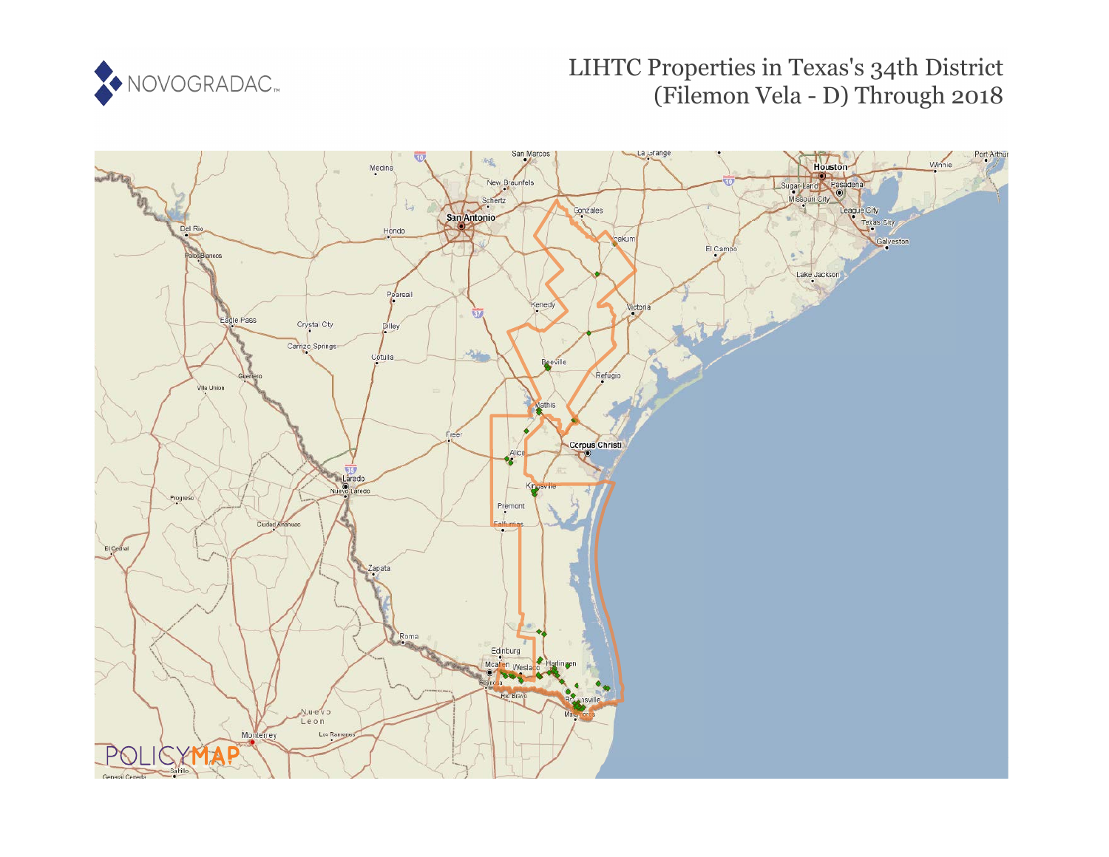

# LIHTC Properties in Texas's 34th District (Filemon Vela - D) Through 2018

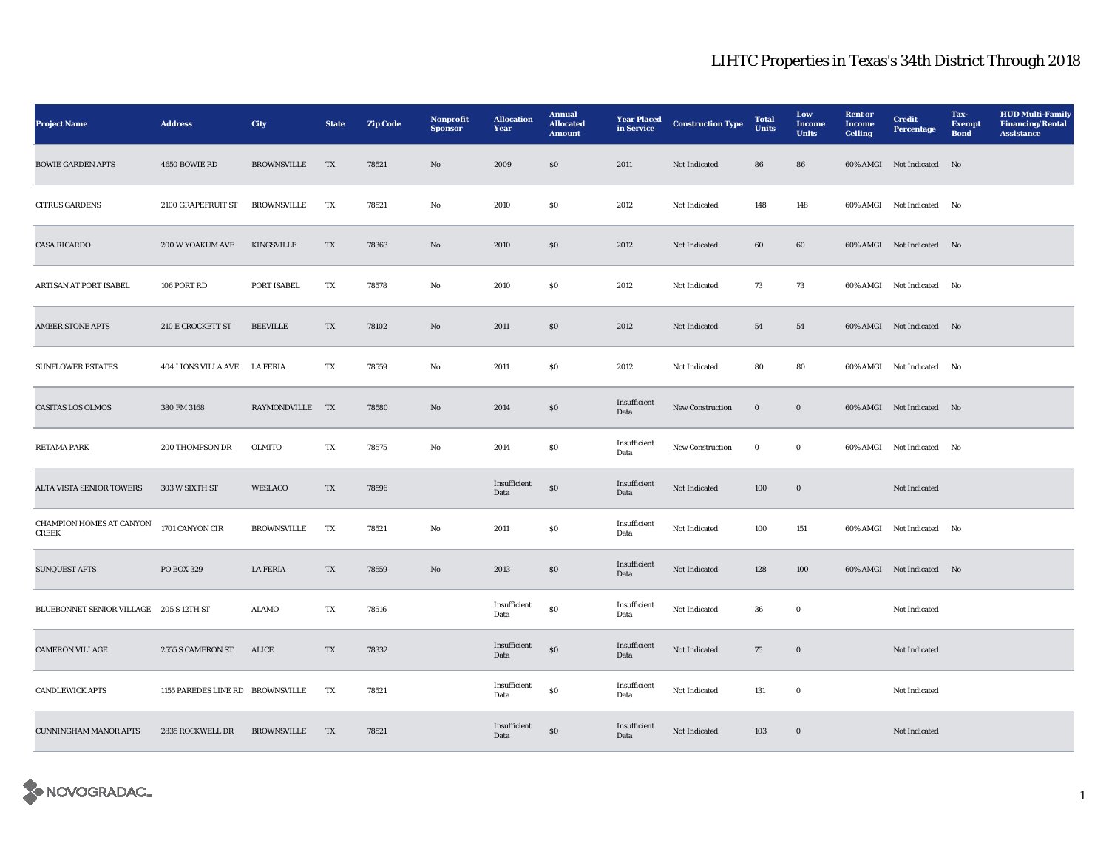| <b>Project Name</b>                      | <b>Address</b>                   | <b>City</b>        | <b>State</b> | <b>Zip Code</b> | Nonprofit<br><b>Sponsor</b> | <b>Allocation</b><br>Year | <b>Annual</b><br><b>Allocated</b><br><b>Amount</b> | <b>Year Placed</b><br>in Service | <b>Construction Type</b> | <b>Total</b><br><b>Units</b> | Low<br>Income<br><b>Units</b> | <b>Rent</b> or<br>Income<br><b>Ceiling</b> | <b>Credit</b><br><b>Percentage</b> | Tax-<br><b>Exempt</b><br><b>Bond</b> | <b>HUD Multi-Family</b><br><b>Financing/Rental</b><br><b>Assistance</b> |
|------------------------------------------|----------------------------------|--------------------|--------------|-----------------|-----------------------------|---------------------------|----------------------------------------------------|----------------------------------|--------------------------|------------------------------|-------------------------------|--------------------------------------------|------------------------------------|--------------------------------------|-------------------------------------------------------------------------|
| <b>BOWIE GARDEN APTS</b>                 | 4650 BOWIE RD                    | <b>BROWNSVILLE</b> | TX           | 78521           | $\mathbf{N}\mathbf{o}$      | 2009                      | $\$0$                                              | 2011                             | Not Indicated            | 86                           | 86                            |                                            | 60% AMGI Not Indicated No          |                                      |                                                                         |
| <b>CITRUS GARDENS</b>                    | 2100 GRAPEFRUIT ST               | <b>BROWNSVILLE</b> | TX           | 78521           | No                          | 2010                      | $\boldsymbol{\mathsf{S}}\boldsymbol{\mathsf{0}}$   | 2012                             | Not Indicated            | 148                          | 148                           |                                            | 60% AMGI Not Indicated No          |                                      |                                                                         |
| <b>CASA RICARDO</b>                      | 200 W YOAKUM AVE                 | <b>KINGSVILLE</b>  | TX           | 78363           | No                          | 2010                      | $\$0$                                              | 2012                             | Not Indicated            | 60                           | 60                            |                                            | 60% AMGI Not Indicated No          |                                      |                                                                         |
| ARTISAN AT PORT ISABEL                   | 106 PORT RD                      | PORT ISABEL        | TX           | 78578           | No                          | 2010                      | S <sub>0</sub>                                     | 2012                             | <b>Not Indicated</b>     | 73                           | 73                            |                                            | 60% AMGI Not Indicated             | No                                   |                                                                         |
| <b>AMBER STONE APTS</b>                  | <b>210 E CROCKETT ST</b>         | <b>BEEVILLE</b>    | TX           | 78102           | No                          | 2011                      | \$0\$                                              | 2012                             | Not Indicated            | 54                           | 54                            |                                            | 60% AMGI Not Indicated No          |                                      |                                                                         |
| <b>SUNFLOWER ESTATES</b>                 | 404 LIONS VILLA AVE LA FERIA     |                    | TX           | 78559           | No                          | 2011                      | <b>SO</b>                                          | 2012                             | Not Indicated            | 80                           | 80                            |                                            | 60% AMGI Not Indicated No          |                                      |                                                                         |
| <b>CASITAS LOS OLMOS</b>                 | 380 FM 3168                      | RAYMONDVILLE TX    |              | 78580           | No                          | 2014                      | $\boldsymbol{\mathsf{S}}\boldsymbol{\mathsf{0}}$   | Insufficient<br>Data             | New Construction         | $\mathbf 0$                  | $\boldsymbol{0}$              |                                            | 60% AMGI Not Indicated No          |                                      |                                                                         |
| <b>RETAMA PARK</b>                       | 200 THOMPSON DR                  | <b>OLMITO</b>      | TX           | 78575           | No                          | 2014                      | $\boldsymbol{\mathsf{S}}\boldsymbol{\mathsf{0}}$   | Insufficient<br>Data             | <b>New Construction</b>  | $\bf{0}$                     | $\bf{0}$                      |                                            | 60% AMGI Not Indicated No          |                                      |                                                                         |
| ALTA VISTA SENIOR TOWERS                 | 303 W SIXTH ST                   | WESLACO            | TX           | 78596           |                             | Insufficient<br>Data      | ${\bf S0}$                                         | Insufficient<br>Data             | Not Indicated            | 100                          | $\boldsymbol{0}$              |                                            | Not Indicated                      |                                      |                                                                         |
| CHAMPION HOMES AT CANYON<br><b>CREEK</b> | 1701 CANYON CIR                  | <b>BROWNSVILLE</b> | TX           | 78521           | No                          | 2011                      | $\boldsymbol{\mathsf{S}}\boldsymbol{\mathsf{0}}$   | Insufficient<br>Data             | Not Indicated            | 100                          | 151                           |                                            | 60% AMGI Not Indicated No          |                                      |                                                                         |
| <b>SUNQUEST APTS</b>                     | PO BOX 329                       | <b>LA FERIA</b>    | TX           | 78559           | No                          | 2013                      | $\boldsymbol{\mathsf{S}}\boldsymbol{\mathsf{0}}$   | Insufficient<br>Data             | Not Indicated            | 128                          | 100                           |                                            | 60% AMGI Not Indicated No          |                                      |                                                                         |
| BLUEBONNET SENIOR VILLAGE 205 S 12TH ST  |                                  | <b>ALAMO</b>       | TX           | 78516           |                             | Insufficient<br>Data      | $\$0$                                              | Insufficient<br>Data             | Not Indicated            | 36                           | $\bf{0}$                      |                                            | Not Indicated                      |                                      |                                                                         |
| <b>CAMERON VILLAGE</b>                   | 2555 S CAMERON ST                | ALICE              | TX           | 78332           |                             | Insufficient<br>Data      | $\$0$                                              | Insufficient<br>Data             | Not Indicated            | 75                           | $\bf{0}$                      |                                            | Not Indicated                      |                                      |                                                                         |
| <b>CANDLEWICK APTS</b>                   | 1155 PAREDES LINE RD BROWNSVILLE |                    | TX           | 78521           |                             | Insufficient<br>Data      | ${\bf S0}$                                         | Insufficient<br>Data             | Not Indicated            | 131                          | $\mathbf 0$                   |                                            | Not Indicated                      |                                      |                                                                         |
| <b>CUNNINGHAM MANOR APTS</b>             | 2835 ROCKWELL DR                 | <b>BROWNSVILLE</b> | TX           | 78521           |                             | Insufficient<br>Data      | ${\bf S0}$                                         | Insufficient<br>Data             | Not Indicated            | 103                          | $\mathbf 0$                   |                                            | Not Indicated                      |                                      |                                                                         |

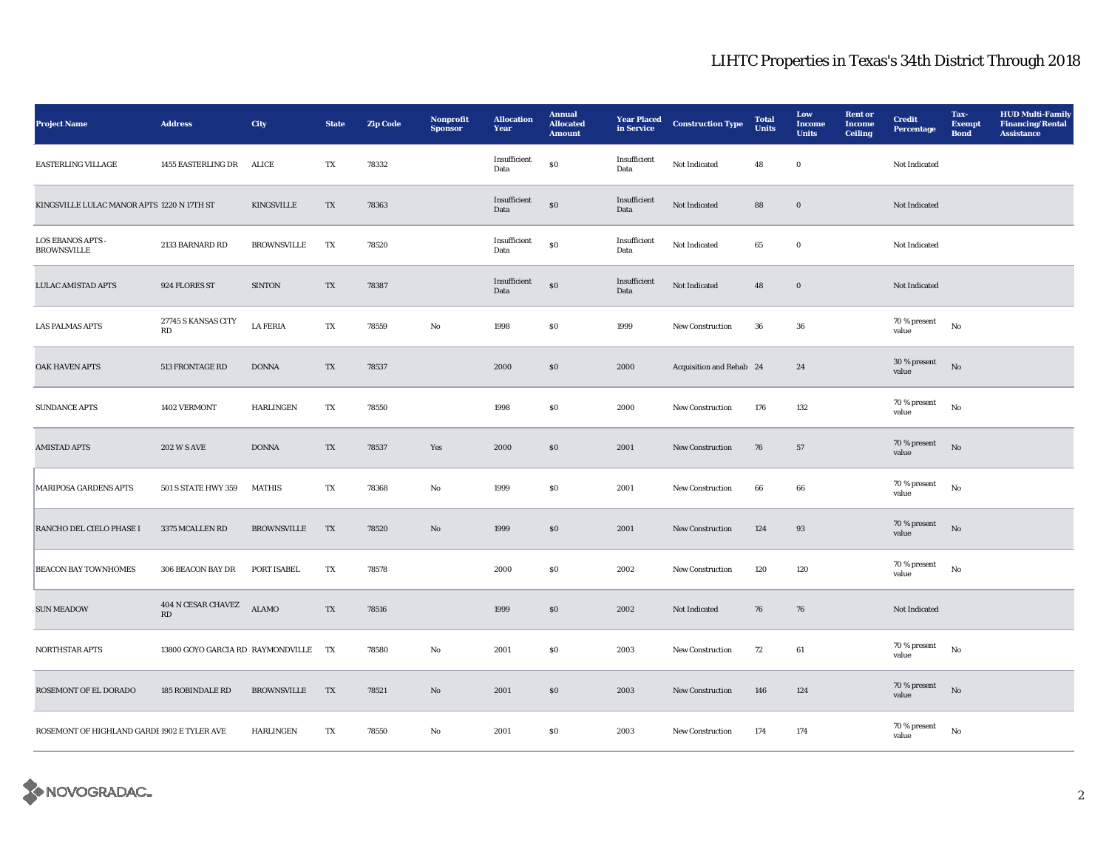| <b>Project Name</b>                            | <b>Address</b>                                 | <b>City</b>        | <b>State</b>           | <b>Zip Code</b> | Nonprofit<br><b>Sponsor</b> | <b>Allocation</b><br>Year | <b>Annual</b><br><b>Allocated</b><br><b>Amount</b> | <b>Year Placed</b><br>in Service | <b>Construction Type</b> | <b>Total</b><br><b>Units</b> | Low<br><b>Income</b><br><b>Units</b> | <b>Rent</b> or<br>Income<br><b>Ceiling</b> | <b>Credit</b><br><b>Percentage</b> | Tax-<br><b>Exempt</b><br><b>Bond</b> | <b>HUD Multi-Family</b><br><b>Financing/Rental</b><br><b>Assistance</b> |
|------------------------------------------------|------------------------------------------------|--------------------|------------------------|-----------------|-----------------------------|---------------------------|----------------------------------------------------|----------------------------------|--------------------------|------------------------------|--------------------------------------|--------------------------------------------|------------------------------------|--------------------------------------|-------------------------------------------------------------------------|
| <b>EASTERLING VILLAGE</b>                      | 1455 EASTERLING DR                             | ALICE              | TX                     | 78332           |                             | Insufficient<br>Data      | ${\bf S0}$                                         | Insufficient<br>Data             | Not Indicated            | 48                           | $\bf{0}$                             |                                            | Not Indicated                      |                                      |                                                                         |
| KINGSVILLE LULAC MANOR APTS 1220 N 17TH ST     |                                                | <b>KINGSVILLE</b>  | TX                     | 78363           |                             | Insufficient<br>Data      | $\$0$                                              | Insufficient<br>Data             | Not Indicated            | 88                           | $\boldsymbol{0}$                     |                                            | Not Indicated                      |                                      |                                                                         |
| <b>LOS EBANOS APTS -</b><br><b>BROWNSVILLE</b> | 2133 BARNARD RD                                | <b>BROWNSVILLE</b> | TX                     | 78520           |                             | Insufficient<br>Data      | ${\bf S0}$                                         | Insufficient<br>Data             | Not Indicated            | 65                           | $\mathbf 0$                          |                                            | Not Indicated                      |                                      |                                                                         |
| <b>LULAC AMISTAD APTS</b>                      | 924 FLORES ST                                  | <b>SINTON</b>      | TX                     | 78387           |                             | Insufficient<br>Data      | ${\bf S0}$                                         | Insufficient<br>Data             | Not Indicated            | 48                           | $\mathbf 0$                          |                                            | Not Indicated                      |                                      |                                                                         |
| <b>LAS PALMAS APTS</b>                         | 27745 S KANSAS CITY<br>RD                      | <b>LA FERIA</b>    | TX                     | 78559           | No                          | 1998                      | $\boldsymbol{\mathsf{S}}\boldsymbol{\mathsf{0}}$   | 1999                             | New Construction         | 36                           | 36                                   |                                            | 70 % present<br>value              | No                                   |                                                                         |
| OAK HAVEN APTS                                 | 513 FRONTAGE RD                                | <b>DONNA</b>       | TX                     | 78537           |                             | 2000                      | $\$0$                                              | 2000                             | Acquisition and Rehab 24 |                              | 24                                   |                                            | 30 % present<br>value              | $_{\rm No}$                          |                                                                         |
| <b>SUNDANCE APTS</b>                           | 1402 VERMONT                                   | <b>HARLINGEN</b>   | TX                     | 78550           |                             | 1998                      | $\$0$                                              | 2000                             | <b>New Construction</b>  | 176                          | 132                                  |                                            | 70 % present<br>value              | $_{\rm No}$                          |                                                                         |
| <b>AMISTAD APTS</b>                            | <b>202 W S AVE</b>                             | <b>DONNA</b>       | TX                     | 78537           | Yes                         | 2000                      | \$0\$                                              | 2001                             | New Construction         | 76                           | 57                                   |                                            | 70 % present<br>value              | $\rm No$                             |                                                                         |
| <b>MARIPOSA GARDENS APTS</b>                   | 501 S STATE HWY 359                            | <b>MATHIS</b>      | $\mathbf{T}\mathbf{X}$ | 78368           | $_{\rm No}$                 | 1999                      | $\$0$                                              | 2001                             | New Construction         | 66                           | 66                                   |                                            | 70 % present<br>value              | $_{\rm No}$                          |                                                                         |
| RANCHO DEL CIELO PHASE I                       | 3375 MCALLEN RD                                | <b>BROWNSVILLE</b> | TX                     | 78520           | No                          | 1999                      | $\$0$                                              | 2001                             | New Construction         | 124                          | 93                                   |                                            | 70 % present<br>value              | No                                   |                                                                         |
| <b>BEACON BAY TOWNHOMES</b>                    | 306 BEACON BAY DR                              | PORT ISABEL        | TX                     | 78578           |                             | 2000                      | S <sub>0</sub>                                     | 2002                             | New Construction         | 120                          | 120                                  |                                            | 70 % present<br>value              | $_{\rm No}$                          |                                                                         |
| <b>SUN MEADOW</b>                              | $404$ N CESAR CHAVEZ<br>$\mathbf{R}\mathbf{D}$ | <b>ALAMO</b>       | TX                     | 78516           |                             | 1999                      | \$0\$                                              | 2002                             | Not Indicated            | 76                           | 76                                   |                                            | Not Indicated                      |                                      |                                                                         |
| NORTHSTAR APTS                                 | 13800 GOYO GARCIA RD RAYMONDVILLE TX           |                    |                        | 78580           | No                          | 2001                      | $\boldsymbol{\mathsf{S}}\boldsymbol{\mathsf{0}}$   | 2003                             | New Construction         | 72                           | 61                                   |                                            | $70$ % present<br>value            | $\mathbf{N}\mathbf{o}$               |                                                                         |
| ROSEMONT OF EL DORADO                          | 185 ROBINDALE RD                               | <b>BROWNSVILLE</b> | TX                     | 78521           | No                          | 2001                      | \$0\$                                              | 2003                             | <b>New Construction</b>  | 146                          | 124                                  |                                            | 70 % present<br>value              | $_{\rm No}$                          |                                                                         |
| ROSEMONT OF HIGHLAND GARDE 1902 E TYLER AVE    |                                                | <b>HARLINGEN</b>   | TX                     | 78550           | No                          | 2001                      | S <sub>0</sub>                                     | 2003                             | <b>New Construction</b>  | 174                          | 174                                  |                                            | 70 % present<br>value              | No                                   |                                                                         |

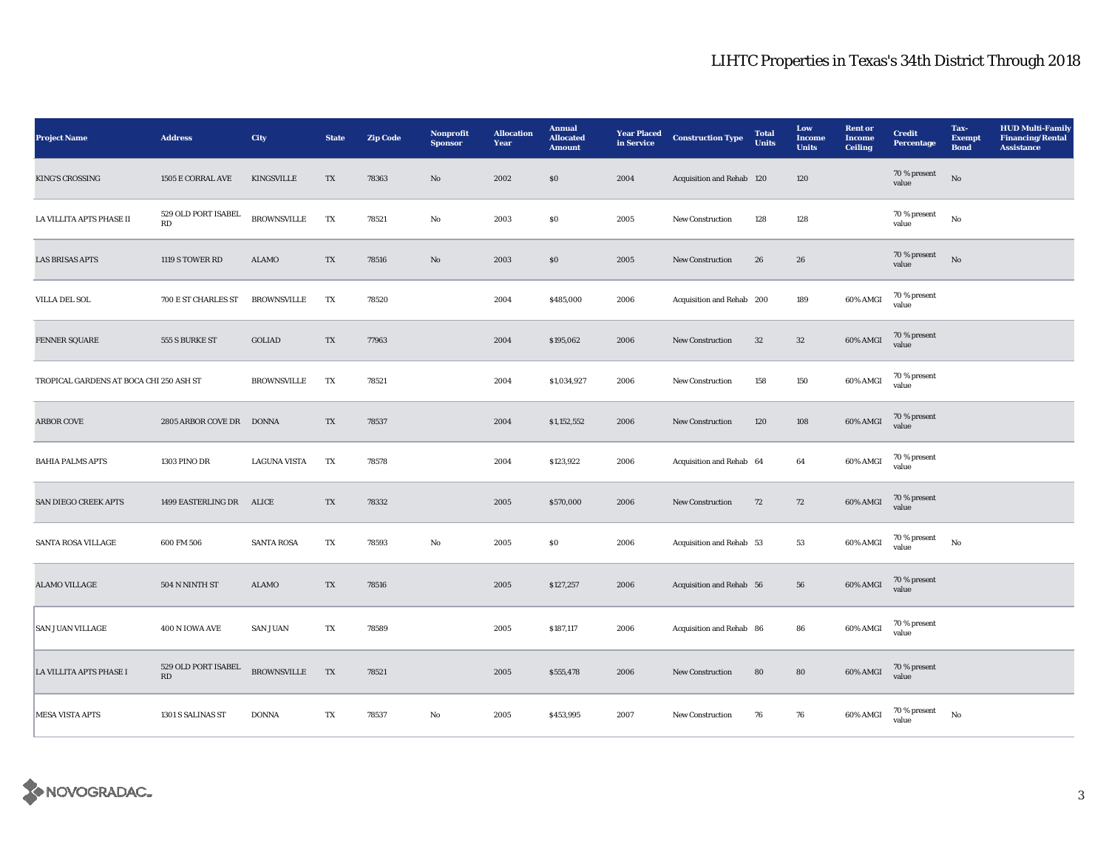| <b>Project Name</b>                     | <b>Address</b>                                | <b>City</b>         | <b>State</b>             | <b>Zip Code</b> | Nonprofit<br><b>Sponsor</b> | <b>Allocation</b><br>Year | <b>Annual</b><br><b>Allocated</b><br><b>Amount</b> | <b>Year Placed</b><br>in Service | <b>Construction Type</b>  | <b>Total</b><br><b>Units</b> | Low<br>Income<br><b>Units</b> | <b>Rent or</b><br><b>Income</b><br><b>Ceiling</b> | <b>Credit</b><br>Percentage | Tax-<br><b>Exempt</b><br><b>Bond</b> | <b>HUD Multi-Family</b><br><b>Financing/Rental</b><br><b>Assistance</b> |
|-----------------------------------------|-----------------------------------------------|---------------------|--------------------------|-----------------|-----------------------------|---------------------------|----------------------------------------------------|----------------------------------|---------------------------|------------------------------|-------------------------------|---------------------------------------------------|-----------------------------|--------------------------------------|-------------------------------------------------------------------------|
| <b>KING'S CROSSING</b>                  | 1505 E CORRAL AVE                             | <b>KINGSVILLE</b>   | TX                       | 78363           | $\mathbf{N}\mathbf{o}$      | 2002                      | \$0                                                | 2004                             | Acquisition and Rehab 120 |                              | 120                           |                                                   | 70 % present<br>value       | No                                   |                                                                         |
| LA VILLITA APTS PHASE II                | 529 OLD PORT ISABEL<br>RD                     | <b>BROWNSVILLE</b>  | TX                       | 78521           | No                          | 2003                      | ${\bf S0}$                                         | 2005                             | <b>New Construction</b>   | 128                          | 128                           |                                                   | 70 % present<br>value       | $_{\rm No}$                          |                                                                         |
| <b>LAS BRISAS APTS</b>                  | 1119 S TOWER RD                               | ALAMO               | $\mathcal{T}\mathcal{X}$ | 78516           | $\rm No$                    | 2003                      | $\$0$                                              | 2005                             | New Construction          | 26                           | ${\bf 26}$                    |                                                   | 70 % present<br>value       | $_{\rm No}$                          |                                                                         |
| <b>VILLA DEL SOL</b>                    | 700 E ST CHARLES ST                           | <b>BROWNSVILLE</b>  | TX                       | 78520           |                             | 2004                      | \$485,000                                          | 2006                             | Acquisition and Rehab 200 |                              | 189                           | 60% AMGI                                          | 70 % present<br>value       |                                      |                                                                         |
| FENNER SQUARE                           | 555 S BURKE ST                                | GOLIAD              | TX                       | 77963           |                             | 2004                      | \$195,062                                          | 2006                             | New Construction          | 32                           | $32\,$                        | 60% AMGI                                          | 70 % present<br>value       |                                      |                                                                         |
| TROPICAL GARDENS AT BOCA CHI 250 ASH ST |                                               | <b>BROWNSVILLE</b>  | TX                       | 78521           |                             | 2004                      | \$1,034,927                                        | 2006                             | <b>New Construction</b>   | 158                          | 150                           | 60% AMGI                                          | 70 % present<br>value       |                                      |                                                                         |
| <b>ARBOR COVE</b>                       | 2805 ARBOR COVE DR DONNA                      |                     | TX                       | 78537           |                             | 2004                      | \$1,152,552                                        | 2006                             | New Construction          | 120                          | 108                           | 60% AMGI                                          | 70 % present<br>value       |                                      |                                                                         |
| <b>BAHIA PALMS APTS</b>                 | <b>1303 PINO DR</b>                           | <b>LAGUNA VISTA</b> | TX                       | 78578           |                             | 2004                      | \$123,922                                          | 2006                             | Acquisition and Rehab 64  |                              | 64                            | 60% AMGI                                          | 70 % present<br>value       |                                      |                                                                         |
| SAN DIEGO CREEK APTS                    | 1499 EASTERLING DR ALICE                      |                     | TX                       | 78332           |                             | 2005                      | \$570,000                                          | 2006                             | <b>New Construction</b>   | 72                           | 72                            | 60% AMGI                                          | 70 % present<br>value       |                                      |                                                                         |
| SANTA ROSA VILLAGE                      | 600 FM 506                                    | <b>SANTA ROSA</b>   | TX                       | 78593           | No                          | 2005                      | S <sub>0</sub>                                     | 2006                             | Acquisition and Rehab 53  |                              | 53                            | 60% AMGI                                          | $70$ % present<br>value     | $_{\rm No}$                          |                                                                         |
| <b>ALAMO VILLAGE</b>                    | 504 N NINTH ST                                | ALAMO               | TX                       | 78516           |                             | 2005                      | \$127,257                                          | 2006                             | Acquisition and Rehab 56  |                              | 56                            | 60% AMGI                                          | 70 % present<br>value       |                                      |                                                                         |
| <b>SAN JUAN VILLAGE</b>                 | 400 N IOWA AVE                                | <b>SAN JUAN</b>     | TX                       | 78589           |                             | 2005                      | \$187,117                                          | 2006                             | Acquisition and Rehab 86  |                              | 86                            | 60% AMGI                                          | 70 % present<br>value       |                                      |                                                                         |
| LA VILLITA APTS PHASE I                 | 529 OLD PORT ISABEL<br>$\mathbf{R}\mathbf{D}$ | <b>BROWNSVILLE</b>  | TX                       | 78521           |                             | 2005                      | \$555,478                                          | 2006                             | <b>New Construction</b>   | 80                           | 80                            | 60% AMGI                                          | 70 % present<br>value       |                                      |                                                                         |
| <b>MESA VISTA APTS</b>                  | 1301 S SALINAS ST                             | <b>DONNA</b>        | TX                       | 78537           | No                          | 2005                      | \$453,995                                          | 2007                             | <b>New Construction</b>   | 76                           | 76                            | 60% AMGI                                          | 70 % present<br>value       | $_{\rm No}$                          |                                                                         |

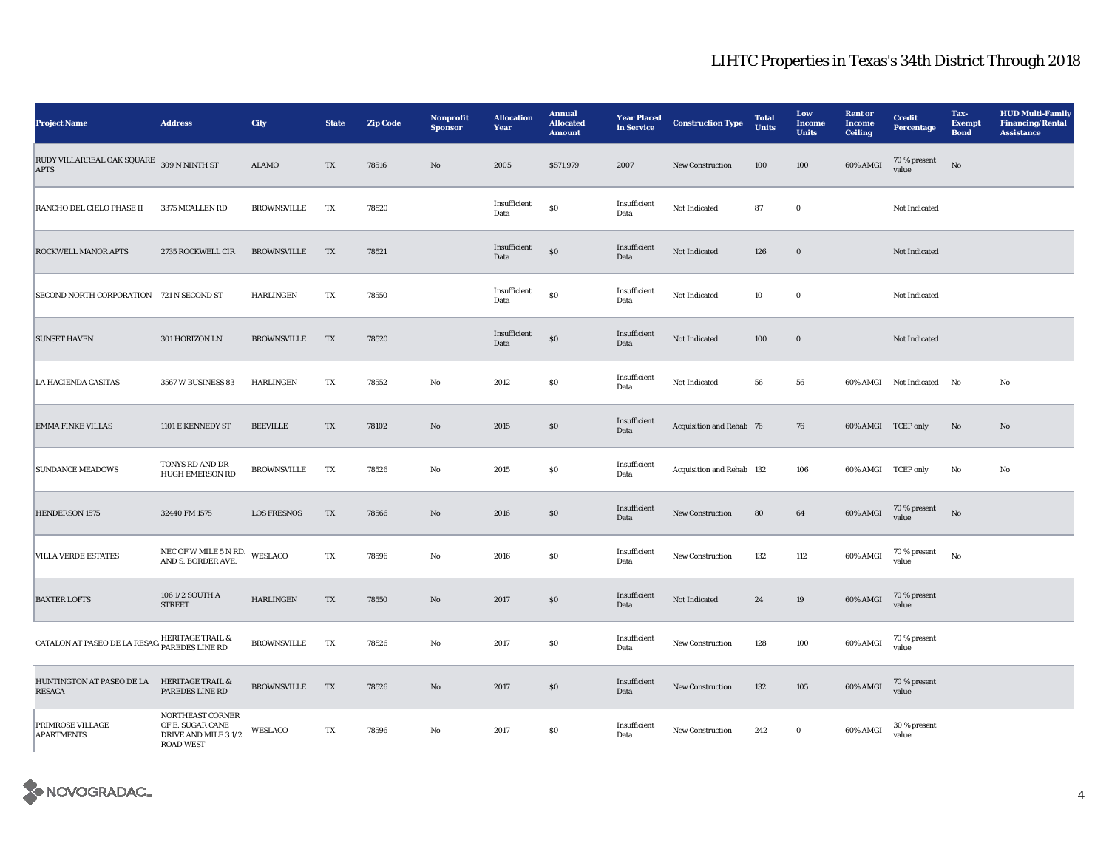| <b>Project Name</b>                                                  | <b>Address</b>                                                                   | City               | <b>State</b> | <b>Zip Code</b> | Nonprofit<br><b>Sponsor</b> | <b>Allocation</b><br>Year | <b>Annual</b><br><b>Allocated</b><br><b>Amount</b> | <b>Year Placed</b><br>in Service | <b>Construction Type</b>  | <b>Total</b><br>Units | Low<br><b>Income</b><br><b>Units</b> | <b>Rent or</b><br><b>Income</b><br><b>Ceiling</b> | <b>Credit</b><br><b>Percentage</b> | Tax-<br><b>Exempt</b><br><b>Bond</b> | <b>HUD Multi-Family</b><br><b>Financing/Rental</b><br><b>Assistance</b> |
|----------------------------------------------------------------------|----------------------------------------------------------------------------------|--------------------|--------------|-----------------|-----------------------------|---------------------------|----------------------------------------------------|----------------------------------|---------------------------|-----------------------|--------------------------------------|---------------------------------------------------|------------------------------------|--------------------------------------|-------------------------------------------------------------------------|
| RUDY VILLARREAL OAK SQUARE 309 N NINTH ST<br><b>APTS</b>             |                                                                                  | <b>ALAMO</b>       | TX           | 78516           | No                          | 2005                      | \$571,979                                          | 2007                             | <b>New Construction</b>   | 100                   | 100                                  | 60% AMGI                                          | 70 % present<br>value              | No                                   |                                                                         |
| RANCHO DEL CIELO PHASE II                                            | 3375 MCALLEN RD                                                                  | <b>BROWNSVILLE</b> | TX           | 78520           |                             | Insufficient<br>Data      | <b>SO</b>                                          | Insufficient<br>Data             | Not Indicated             | 87                    | $\bf{0}$                             |                                                   | Not Indicated                      |                                      |                                                                         |
| <b>ROCKWELL MANOR APTS</b>                                           | 2735 ROCKWELL CIR                                                                | <b>BROWNSVILLE</b> | TX           | 78521           |                             | Insufficient<br>Data      | \$0                                                | Insufficient<br>Data             | Not Indicated             | 126                   | $\boldsymbol{0}$                     |                                                   | Not Indicated                      |                                      |                                                                         |
| SECOND NORTH CORPORATION 721 N SECOND ST                             |                                                                                  | HARLINGEN          | TX           | 78550           |                             | Insufficient<br>Data      | <b>SO</b>                                          | Insufficient<br>Data             | Not Indicated             | 10                    | $\bf{0}$                             |                                                   | Not Indicated                      |                                      |                                                                         |
| <b>SUNSET HAVEN</b>                                                  | 301 HORIZON LN                                                                   | <b>BROWNSVILLE</b> | TX           | 78520           |                             | Insufficient<br>Data      | \$0                                                | Insufficient<br>Data             | Not Indicated             | 100                   | $\boldsymbol{0}$                     |                                                   | Not Indicated                      |                                      |                                                                         |
| LA HACIENDA CASITAS                                                  | 3567 W BUSINESS 83                                                               | <b>HARLINGEN</b>   | TX           | 78552           | No                          | 2012                      | $\$0$                                              | Insufficient<br>Data             | Not Indicated             | 56                    | ${\bf 56}$                           |                                                   | 60% AMGI Not Indicated No          |                                      | No                                                                      |
| <b>EMMA FINKE VILLAS</b>                                             | 1101 E KENNEDY ST                                                                | <b>BEEVILLE</b>    | TX           | 78102           | $\mathbf{No}$               | 2015                      | $\$0$                                              | Insufficient<br>Data             | Acquisition and Rehab 76  |                       | 76                                   | 60% AMGI TCEP only                                |                                    | No                                   | $\mathbf{No}$                                                           |
| <b>SUNDANCE MEADOWS</b>                                              | TONYS RD AND DR<br><b>HUGH EMERSON RD</b>                                        | <b>BROWNSVILLE</b> | TX           | 78526           | No                          | 2015                      | $\$0$                                              | Insufficient<br>Data             | Acquisition and Rehab 132 |                       | 106                                  | 60% AMGI TCEP only                                |                                    | $_{\rm No}$                          | No                                                                      |
| <b>HENDERSON 1575</b>                                                | 32440 FM 1575                                                                    | <b>LOS FRESNOS</b> | TX           | 78566           | No                          | 2016                      | \$0                                                | Insufficient<br>Data             | <b>New Construction</b>   | 80                    | 64                                   | 60% AMGI                                          | 70 % present<br>value              | No                                   |                                                                         |
| <b>VILLA VERDE ESTATES</b>                                           | NEC OF W MILE 5 N RD.<br>AND S. BORDER AVE.                                      | WESLACO            | TX           | 78596           | No                          | 2016                      | \$0                                                | Insufficient<br>Data             | <b>New Construction</b>   | 132                   | 112                                  | 60% AMGI                                          | 70 % present<br>value              | No                                   |                                                                         |
| <b>BAXTER LOFTS</b>                                                  | 106 1/2 SOUTH A<br><b>STREET</b>                                                 | <b>HARLINGEN</b>   | TX           | 78550           | $\mathbf{No}$               | 2017                      | $\$0$                                              | Insufficient<br>Data             | Not Indicated             | 24                    | 19                                   | 60% AMGI                                          | 70 % present<br>value              |                                      |                                                                         |
| <b>CATALON AT PASEO DE LA RESAC<sup>, HERITAGE TRAIL &amp;</sup></b> |                                                                                  | <b>BROWNSVILLE</b> | TX           | 78526           | No                          | 2017                      | $\$0$                                              | Insufficient<br>Data             | New Construction          | 128                   | 100                                  | 60% AMGI                                          | 70 % present<br>value              |                                      |                                                                         |
| HUNTINGTON AT PASEO DE LA HERITAGE TRAIL &<br><b>RESACA</b>          | PAREDES LINE RD                                                                  | <b>BROWNSVILLE</b> | TX           | 78526           | No                          | 2017                      | \$0                                                | Insufficient<br>Data             | New Construction          | 132                   | 105                                  | 60% AMGI                                          | 70 % present<br>value              |                                      |                                                                         |
| PRIMROSE VILLAGE<br><b>APARTMENTS</b>                                | NORTHEAST CORNER<br>OF E. SUGAR CANE<br>DRIVE AND MILE 3 1/2<br><b>ROAD WEST</b> | WESLACO            | TX           | 78596           | No                          | 2017                      | S <sub>0</sub>                                     | Insufficient<br>Data             | <b>New Construction</b>   | 242                   | $\bf{0}$                             | 60% AMGI                                          | 30 % present<br>value              |                                      |                                                                         |

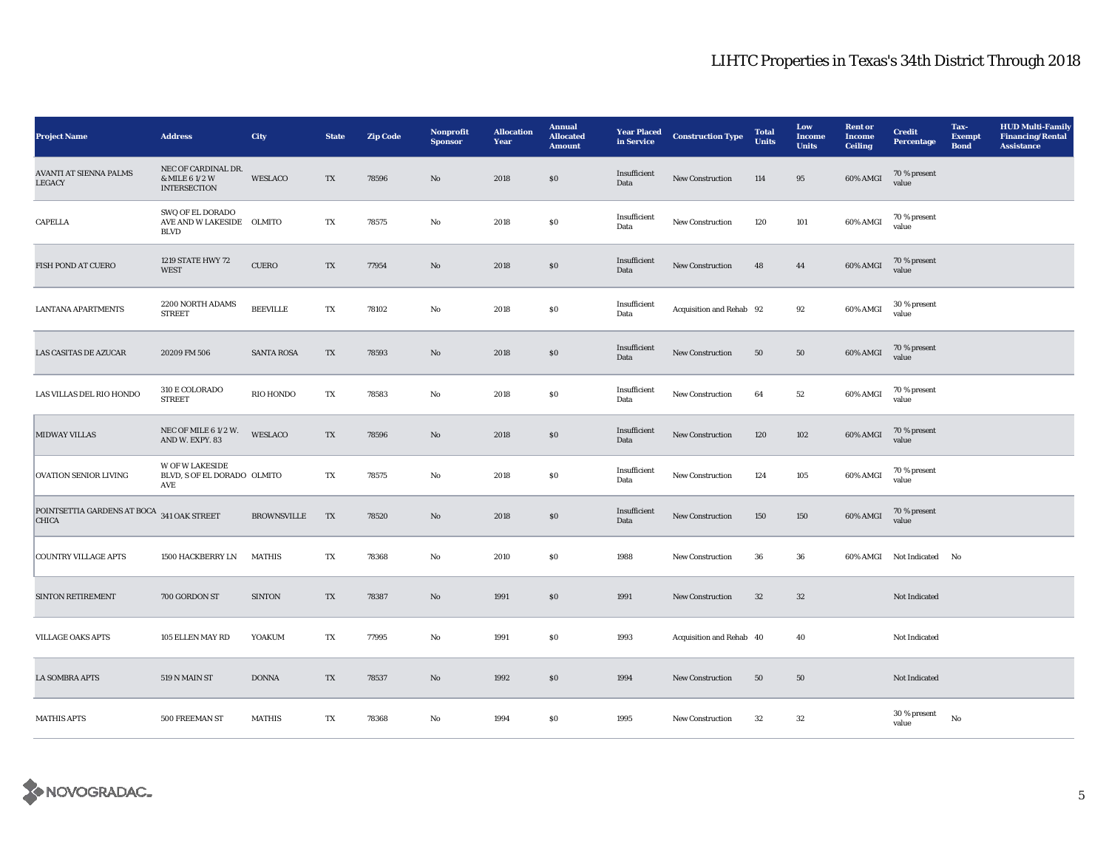| <b>Project Name</b>                                        | <b>Address</b>                                               | City               | <b>State</b> | <b>Zip Code</b> | Nonprofit<br><b>Sponsor</b> | <b>Allocation</b><br>Year | <b>Annual</b><br><b>Allocated</b><br><b>Amount</b> | <b>Year Placed</b><br>in Service | <b>Construction Type</b> | <b>Total</b><br><b>Units</b> | Low<br><b>Income</b><br><b>Units</b> | <b>Rent or</b><br><b>Income</b><br><b>Ceiling</b> | <b>Credit</b><br>Percentage | Tax-<br><b>Exempt</b><br><b>Bond</b> | <b>HUD Multi-Family</b><br><b>Financing/Rental</b><br><b>Assistance</b> |
|------------------------------------------------------------|--------------------------------------------------------------|--------------------|--------------|-----------------|-----------------------------|---------------------------|----------------------------------------------------|----------------------------------|--------------------------|------------------------------|--------------------------------------|---------------------------------------------------|-----------------------------|--------------------------------------|-------------------------------------------------------------------------|
| <b>AVANTI AT SIENNA PALMS</b><br>LEGACY                    | NEC OF CARDINAL DR.<br>& MILE 6 1/2 W<br><b>INTERSECTION</b> | WESLACO            | TX           | 78596           | No                          | 2018                      | $\$0$                                              | Insufficient<br>Data             | New Construction         | 114                          | 95                                   | 60% AMGI                                          | 70 % present<br>value       |                                      |                                                                         |
| CAPELLA                                                    | SWQ OF EL DORADO<br>AVE AND W LAKESIDE OLMITO<br><b>BLVD</b> |                    | TX           | 78575           | No                          | 2018                      | $\$0$                                              | Insufficient<br>Data             | <b>New Construction</b>  | 120                          | 101                                  | 60% AMGI                                          | 70 % present<br>value       |                                      |                                                                         |
| FISH POND AT CUERO                                         | 1219 STATE HWY 72<br><b>WEST</b>                             | <b>CUERO</b>       | TX           | 77954           | No                          | 2018                      | $\$0$                                              | Insufficient<br>Data             | <b>New Construction</b>  | 48                           | 44                                   | 60% AMGI                                          | 70 % present<br>value       |                                      |                                                                         |
| <b>LANTANA APARTMENTS</b>                                  | 2200 NORTH ADAMS<br><b>STREET</b>                            | <b>BEEVILLE</b>    | TX           | 78102           | $\mathbf{No}$               | 2018                      | $\$0$                                              | Insufficient<br>Data             | Acquisition and Rehab 92 |                              | 92                                   | 60% AMGI                                          | 30 % present<br>value       |                                      |                                                                         |
| <b>LAS CASITAS DE AZUCAR</b>                               | 20209 FM 506                                                 | <b>SANTA ROSA</b>  | TX           | 78593           | No                          | 2018                      | \$0                                                | Insufficient<br>Data             | <b>New Construction</b>  | 50                           | 50                                   | 60% AMGI                                          | 70 % present<br>value       |                                      |                                                                         |
| LAS VILLAS DEL RIO HONDO                                   | 310 E COLORADO<br><b>STREET</b>                              | RIO HONDO          | TX           | 78583           | No                          | 2018                      | $\$0$                                              | Insufficient<br>Data             | New Construction         | 64                           | 52                                   | 60% AMGI                                          | 70 % present<br>value       |                                      |                                                                         |
| <b>MIDWAY VILLAS</b>                                       | NEC OF MILE 6 1/2 W.<br>AND W. EXPY. 83                      | WESLACO            | TX           | 78596           | $\mathbf {No}$              | 2018                      | $\$0$                                              | Insufficient<br>Data             | New Construction         | 120                          | 102                                  | 60% AMGI                                          | 70 % present<br>value       |                                      |                                                                         |
| <b>OVATION SENIOR LIVING</b>                               | <b>W OF W LAKESIDE</b><br>BLVD, S OF EL DORADO OLMITO<br>AVE |                    | TX           | 78575           | No                          | 2018                      | $\$0$                                              | Insufficient<br>Data             | New Construction         | 124                          | 105                                  | 60% AMGI                                          | 70 % present<br>value       |                                      |                                                                         |
| POINTSETTIA GARDENS AT BOCA 341 OAK STREET<br><b>CHICA</b> |                                                              | <b>BROWNSVILLE</b> | TX           | 78520           | $\mathbf{N}\mathbf{o}$      | 2018                      | $\$0$                                              | Insufficient<br>Data             | New Construction         | 150                          | 150                                  | 60% AMGI                                          | 70 % present<br>value       |                                      |                                                                         |
| <b>COUNTRY VILLAGE APTS</b>                                | 1500 HACKBERRY LN                                            | <b>MATHIS</b>      | TX           | 78368           | No                          | 2010                      | $\$0$                                              | 1988                             | New Construction         | 36                           | 36                                   |                                                   | 60% AMGI Not Indicated No   |                                      |                                                                         |
| <b>SINTON RETIREMENT</b>                                   | 700 GORDON ST                                                | <b>SINTON</b>      | TX           | 78387           | No                          | 1991                      | \$0                                                | 1991                             | <b>New Construction</b>  | 32                           | $32\,$                               |                                                   | Not Indicated               |                                      |                                                                         |
| <b>VILLAGE OAKS APTS</b>                                   | 105 ELLEN MAY RD                                             | YOAKUM             | TX           | 77995           | $\mathbf{No}$               | 1991                      | $\$0$                                              | 1993                             | Acquisition and Rehab 40 |                              | 40                                   |                                                   | Not Indicated               |                                      |                                                                         |
| <b>LA SOMBRA APTS</b>                                      | 519 N MAIN ST                                                | <b>DONNA</b>       | TX           | 78537           | $\mathbf{No}$               | 1992                      | \$0                                                | 1994                             | New Construction         | 50                           | 50                                   |                                                   | Not Indicated               |                                      |                                                                         |
| <b>MATHIS APTS</b>                                         | 500 FREEMAN ST                                               | <b>MATHIS</b>      | TX           | 78368           | No                          | 1994                      | <b>SO</b>                                          | 1995                             | <b>New Construction</b>  | 32                           | 32                                   |                                                   | 30 % present<br>value       | No                                   |                                                                         |